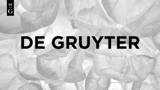# DE GRUYTER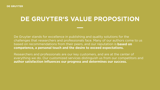### DE GRUYTER'S VALUE PROPOSITION

De Gruyter stands for excellence in publishing and quality solutions for the challenges that researchers and professionals face. Many of our authors come to us based on recommendations from their peers, and our reputation is **based on** competence, a personal touch and the desire to exceed expectations.

Researchers and professionals are our key customers, and are at the center of everything we do. Our customized services distinguish us from our competitors and author satisfaction influences our progress and determines our success.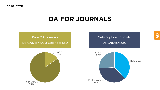## **OA FOR JOURNALS**



3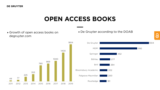#### **OPEN ACCESS BOOKS**

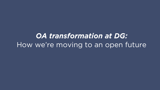**OA transformation at DG:** How we're moving to an open future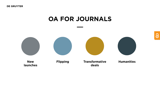#### **OA FOR JOURNALS**

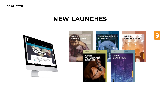#### **NEW LAUNCHES**





3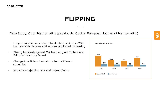#### **FLIPPING**

Case Study: Open Mathematics (previously: Central European Journal of Mathematics)

- Drop in submissions after introduction of APC in 2015, but now submissions and articles published increasing
- Strong backlash against OA from original Editors and Editorial Advisory Board
- Change in article submission from different countries
- Impact on rejection rate and impact factor



8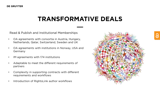## **TRANSFORMATIVE DEALS**

Read & Publish and Institutional Memberships

- OA agreements with consortia in Austria, Hungary, Netherlands, Qatar, Switzerland, Sweden and UK
- OA agreements with institutions in Norway, USA and Germany
- IM agreements with 174 institutions
- Adaptable to meet the different requirements of partners
- Complexity in supporting contracts with different requirements and workflows
- Introduction of RightsLink author workflows

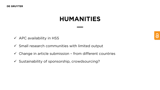#### **HUMANITIES**

- $\checkmark$  APC availability in HSS
- $\checkmark$  Small research communities with limited output
- $\checkmark$  Change in article submission from different countries
- $\checkmark$  Sustainability of sponsorship, crowdsourcing?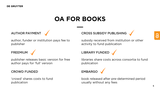## **OA FOR BOOKS**

#### AUTHOR PAYMENT

author, funder or institution pays fee to publisher



publisher releases basic version for free author pays for 'full' version

#### CROWD FUNDED

'crowd' shares costs to fund publication

#### CROSS SUBSIDY PUBLISHING



subsidy received from institution or other activity to fund publication

LIBRARY FUNDED

libraries share costs across consortia to fund publication

EMBARGO

book released after pre-determined period usually without any fees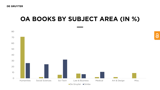### OA BOOKS BY SUBJECT AREA (IN %)

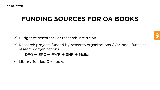### **FUNDING SOURCES FOR OA BOOKS**

- $\checkmark$  Budget of researcher or research institution
- $\checkmark$  Research projects funded by research organizations / OA book funds at research organizations

 $DFG \rightarrow ERC \rightarrow FWF \rightarrow SNF \rightarrow Mellon$ 

 $\checkmark$  Library-funded OA books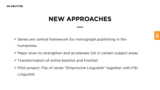#### **NEW APPROACHES**

- $\checkmark$  Series are central framework for monograph publishing in the humanities
- $\checkmark$  Major lever to strengthen and accelerate OA in certain subject areas
- $\checkmark$  Transformation of entire backlist and frontlist
- $\checkmark$  Pilot project: Flip of series "Empirische Linguistik" together with FID Linguistik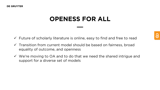#### **OPENESS FOR ALL**

- $\checkmark$  Future of scholarly literature is online, easy to find and free to read
- $\checkmark$  Transition from current model should be based on fairness, broad equality of outcome, and openness
- $\checkmark$  We're moving to OA and to do that we need the shared intrigue and support for a diverse set of models